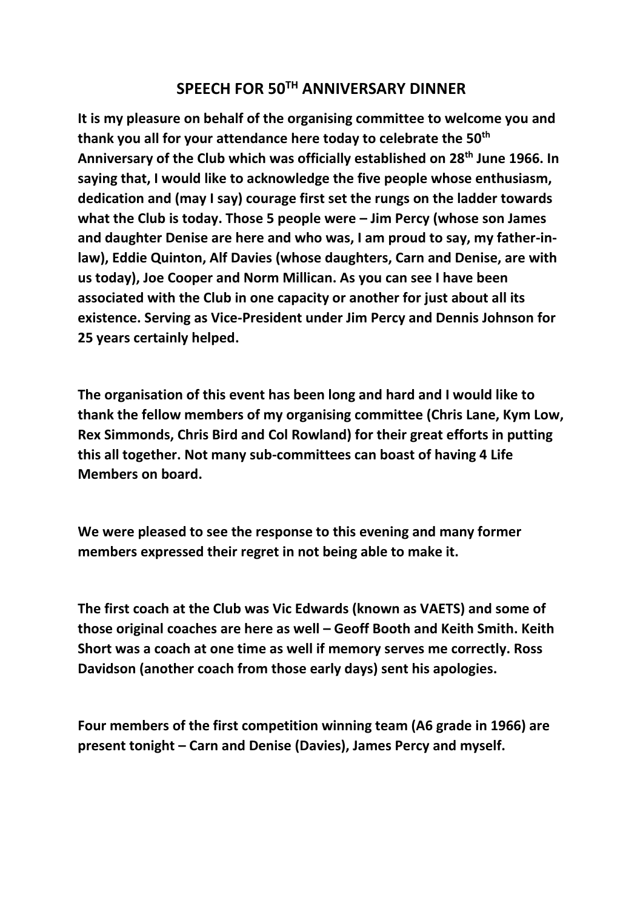## **SPEECH FOR 50TH ANNIVERSARY DINNER**

**It is my pleasure on behalf of the organising committee to welcome you and thank you all for your attendance here today to celebrate the 50th Anniversary of the Club which was officially established on 28th June 1966. In saying that, I would like to acknowledge the five people whose enthusiasm, dedication and (may I say) courage first set the rungs on the ladder towards what the Club is today. Those 5 people were – Jim Percy (whose son James and daughter Denise are here and who was, I am proud to say, my father-inlaw), Eddie Quinton, Alf Davies (whose daughters, Carn and Denise, are with us today), Joe Cooper and Norm Millican. As you can see I have been associated with the Club in one capacity or another for just about all its existence. Serving as Vice-President under Jim Percy and Dennis Johnson for 25 years certainly helped.**

**The organisation of this event has been long and hard and I would like to thank the fellow members of my organising committee (Chris Lane, Kym Low, Rex Simmonds, Chris Bird and Col Rowland) for their great efforts in putting this all together. Not many sub-committees can boast of having 4 Life Members on board.**

**We were pleased to see the response to this evening and many former members expressed their regret in not being able to make it.**

**The first coach at the Club was Vic Edwards (known as VAETS) and some of those original coaches are here as well – Geoff Booth and Keith Smith. Keith Short was a coach at one time as well if memory serves me correctly. Ross Davidson (another coach from those early days) sent his apologies.**

**Four members of the first competition winning team (A6 grade in 1966) are present tonight – Carn and Denise (Davies), James Percy and myself.**